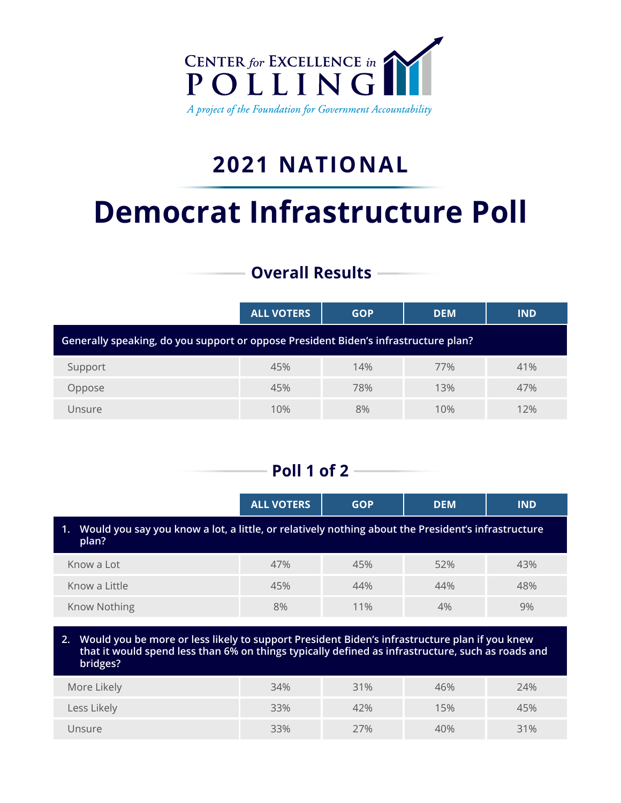

## **2021 NATIONAL**

# **Democrat Infrastructure Poll**

## **Overall Results**

|                                                                                     | <b>ALL VOTERS</b> | <b>GOP</b> | <b>DEM</b> | <b>IND</b> |  |
|-------------------------------------------------------------------------------------|-------------------|------------|------------|------------|--|
| Generally speaking, do you support or oppose President Biden's infrastructure plan? |                   |            |            |            |  |
| Support                                                                             | 45%               | 14%        | 77%        | 41%        |  |
| Oppose                                                                              | 45%               | 78%        | 13%        | 47%        |  |
| Unsure                                                                              | 10%               | 8%         | 10%        | 12%        |  |

## **Poll 1 of 2**

|                                                                                                                | <b>ALL VOTERS</b> | <b>GOP</b> | <b>DEM</b> | <b>IND</b> |  |
|----------------------------------------------------------------------------------------------------------------|-------------------|------------|------------|------------|--|
| 1. Would you say you know a lot, a little, or relatively nothing about the President's infrastructure<br>plan? |                   |            |            |            |  |
| Know a Lot                                                                                                     | 47%               | 45%        | 52%        | 43%        |  |
| Know a Little                                                                                                  | 45%               | 44%        | 44%        | 48%        |  |
| Know Nothing                                                                                                   | 8%                | 11%        | 4%         | 9%         |  |
|                                                                                                                |                   |            |            |            |  |

**2. Would you be more or less likely to support President Biden's infrastructure plan if you knew that it would spend less than 6% on things typically defined as infrastructure, such as roads and bridges?** 

| More Likely | 34% | 31% | 46% | 24% |
|-------------|-----|-----|-----|-----|
| Less Likely | 33% | 42% | 15% | 45% |
| Unsure      | 33% | 27% | 40% | 31% |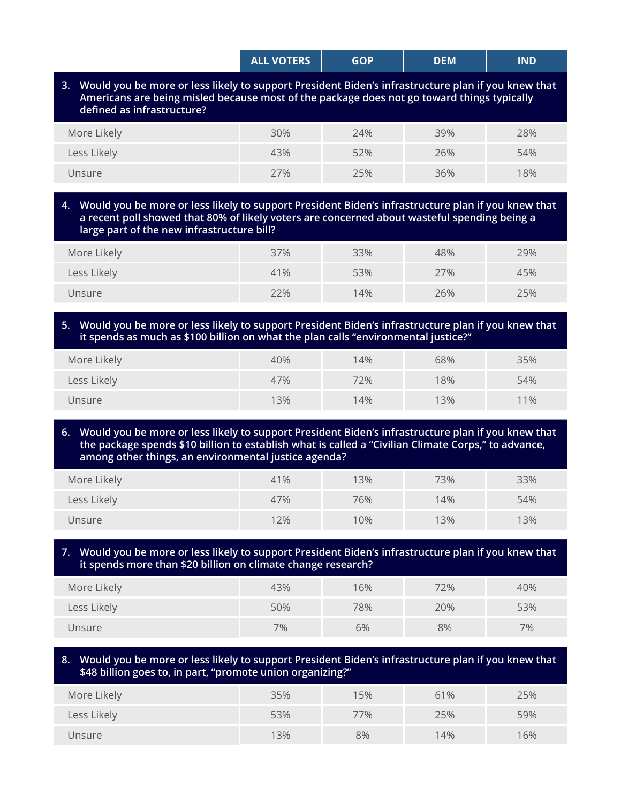|                                                                                                                                                                                                                                   | <b>ALL VOTERS</b> | <b>GOP</b> | <b>DEM</b> | <b>IND</b> |
|-----------------------------------------------------------------------------------------------------------------------------------------------------------------------------------------------------------------------------------|-------------------|------------|------------|------------|
| 3. Would you be more or less likely to support President Biden's infrastructure plan if you knew that<br>Americans are being misled because most of the package does not go toward things typically<br>defined as infrastructure? |                   |            |            |            |

| More Likely | 30% | 24% | 39% | 28% |
|-------------|-----|-----|-----|-----|
| Less Likely | 43% | 52% | 26% | 54% |
| Unsure      | 27% | 25% | 36% | 18% |

#### **4. Would you be more or less likely to support President Biden's infrastructure plan if you knew that a recent poll showed that 80% of likely voters are concerned about wasteful spending being a large part of the new infrastructure bill?**

| More Likely | 37% | 33% | 48% | 29% |
|-------------|-----|-----|-----|-----|
| Less Likely | 41% | 53% | 27% | 45% |
| Unsure      | 22% | 14% | 26% | 25% |

#### **5. Would you be more or less likely to support President Biden's infrastructure plan if you knew that it spends as much as \$100 billion on what the plan calls "environmental justice?"**

| More Likely | 40% | 14% | 68% | 35% |
|-------------|-----|-----|-----|-----|
| Less Likely | 47% | 72% | 18% | 54% |
| Unsure      | 13% | 14% | 13% | 11% |

**6. Would you be more or less likely to support President Biden's infrastructure plan if you knew that the package spends \$10 billion to establish what is called a "Civilian Climate Corps," to advance, among other things, an environmental justice agenda?** 

| More Likely | 41% | 13%    | 73% | 33% |
|-------------|-----|--------|-----|-----|
| Less Likely | 47% | 76%    | 14% | 54% |
| Unsure      | 12% | $10\%$ | 13% | 13% |

#### **7. Would you be more or less likely to support President Biden's infrastructure plan if you knew that it spends more than \$20 billion on climate change research?**

| More Likely | 43% | 16% | 72% | 40% |
|-------------|-----|-----|-----|-----|
| Less Likely | 50% | 78% | 20% | 53% |
| Unsure      | 7%  | 6%  | 8%  | 7%  |

#### **8. Would you be more or less likely to support President Biden's infrastructure plan if you knew that \$48 billion goes to, in part, "promote union organizing?"**

| More Likely | 35% | 15% | 61% | 25% |
|-------------|-----|-----|-----|-----|
| Less Likely | 53% | 77% | 25% | 59% |
| Unsure      | 13% | 8%  | 14% | 16% |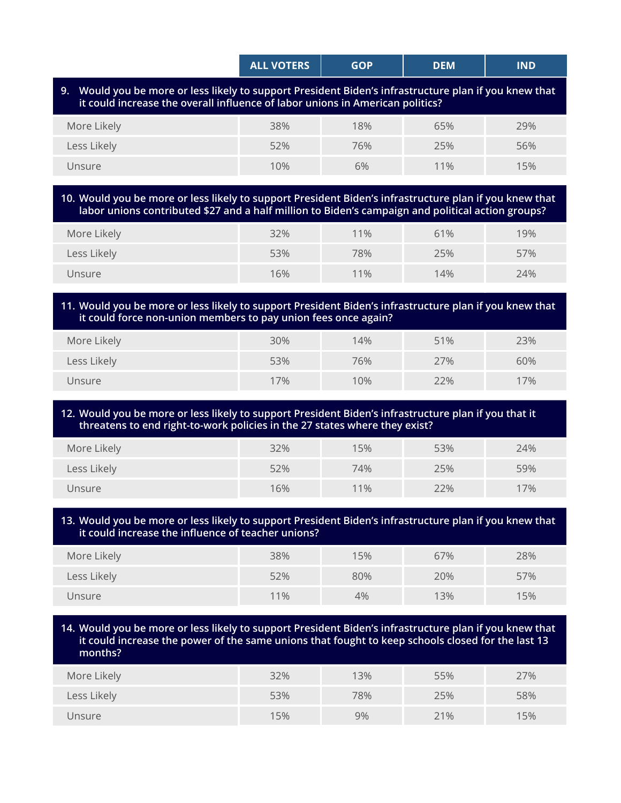|                                                                                                                                                                                        | <b>ALL VOTERS</b> | <b>GOP</b>       | <b>DEM</b> | <b>IND</b>       |  |  |
|----------------------------------------------------------------------------------------------------------------------------------------------------------------------------------------|-------------------|------------------|------------|------------------|--|--|
| 9. Would you be more or less likely to support President Biden's infrastructure plan if you knew that<br>it could increase the overall influence of labor unions in American politics? |                   |                  |            |                  |  |  |
| Moro Likoh                                                                                                                                                                             | つのん               | 100 <sub>4</sub> | CEN        | 200 <sub>6</sub> |  |  |

| More Likely | 38% | 18% | 65% | 29% |
|-------------|-----|-----|-----|-----|
| Less Likely | 52% | 76% | 25% | 56% |
| Unsure      | 10% | 6%  | 11% | 15% |
|             |     |     |     |     |

#### **10. Would you be more or less likely to support President Biden's infrastructure plan if you knew that labor unions contributed \$27 and a half million to Biden's campaign and political action groups?**

| More Likely | 32% | 11% | 61% | 19% |
|-------------|-----|-----|-----|-----|
| Less Likely | 53% | 78% | 25% | 57% |
| Unsure      | 16% | 11% | 14% | 24% |

#### **11. Would you be more or less likely to support President Biden's infrastructure plan if you knew that it could force non-union members to pay union fees once again?**

| More Likely | 30% | 14% | 51% | 23% |
|-------------|-----|-----|-----|-----|
| Less Likely | 53% | 76% | 27% | 60% |
| Unsure      | 17% | 10% | 22% | 17% |

#### **12. Would you be more or less likely to support President Biden's infrastructure plan if you that it threatens to end right-to-work policies in the 27 states where they exist?**

| More Likely | 32% | 15% | 53% | 24% |
|-------------|-----|-----|-----|-----|
| Less Likely | 52% | 74% | 25% | 59% |
| Unsure      | 16% | 11% | 22% | 17% |

#### **13. Would you be more or less likely to support President Biden's infrastructure plan if you knew that it could increase the influence of teacher unions?**

| More Likely | 38% | 15% | 67% | 28% |
|-------------|-----|-----|-----|-----|
| Less Likely | 52% | 80% | 20% | 57% |
| Unsure      | 11% | 4%  | 13% | 15% |

#### **14. Would you be more or less likely to support President Biden's infrastructure plan if you knew that it could increase the power of the same unions that fought to keep schools closed for the last 13 months?**

| More Likely | 32% | 13% | 55% | 27% |
|-------------|-----|-----|-----|-----|
| Less Likely | 53% | 78% | 25% | 58% |
| Unsure      | 15% | 9%  | 21% | 15% |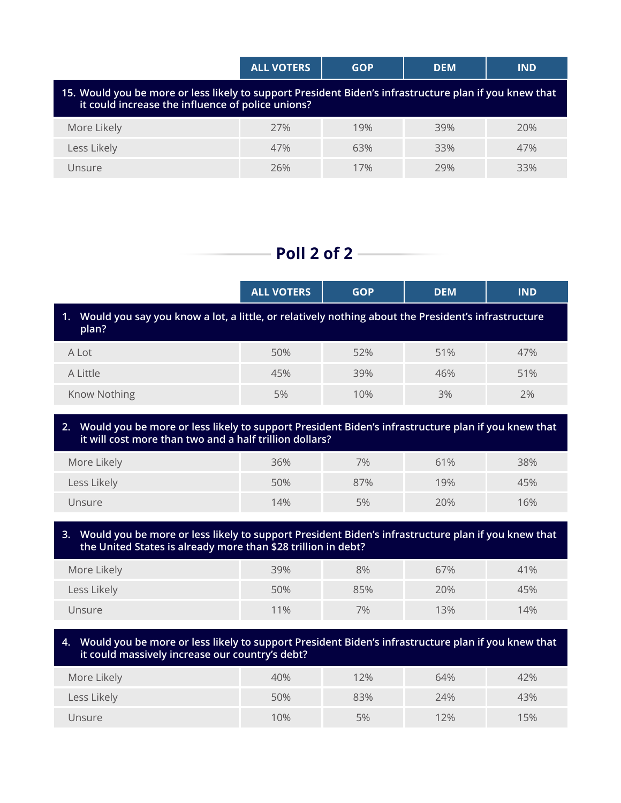|                                                                                                                                                             | <b>ALL VOTERS</b> | <b>GOP</b> | <b>DEM</b> | <b>IND</b> |  |  |
|-------------------------------------------------------------------------------------------------------------------------------------------------------------|-------------------|------------|------------|------------|--|--|
| 15. Would you be more or less likely to support President Biden's infrastructure plan if you knew that<br>it could increase the influence of police unions? |                   |            |            |            |  |  |
| More Likely                                                                                                                                                 | 27%               | 19%        | 39%        | 20%        |  |  |
| Less Likely                                                                                                                                                 | 47%               | 63%        | 33%        | 47%        |  |  |
| Unsure                                                                                                                                                      | 26%               | 17%        | 79%        | 33%        |  |  |

### **Poll 2 of 2**

|                                                                                                                | <b>ALL VOTERS</b> | <b>GOP</b> | <b>DEM</b> | <b>IND</b> |  |  |
|----------------------------------------------------------------------------------------------------------------|-------------------|------------|------------|------------|--|--|
| 1. Would you say you know a lot, a little, or relatively nothing about the President's infrastructure<br>plan? |                   |            |            |            |  |  |
| A Lot                                                                                                          | 50%               | 52%        | 51%        | 47%        |  |  |
| A Little                                                                                                       | 45%               | 39%        | 46%        | 51%        |  |  |
| <b>Know Nothing</b>                                                                                            | 5%                | 10%        | 3%         | 2%         |  |  |

**2. Would you be more or less likely to support President Biden's infrastructure plan if you knew that it will cost more than two and a half trillion dollars?** 

| More Likely | 36% | 7%  | 61% | 38% |
|-------------|-----|-----|-----|-----|
| Less Likely | 50% | 87% | 19% | 45% |
| Unsure      | 14% | 5%  | 20% | 16% |

**3. Would you be more or less likely to support President Biden's infrastructure plan if you knew that the United States is already more than \$28 trillion in debt?**

| More Likely | 39% | 8%  | 67% | 41% |
|-------------|-----|-----|-----|-----|
| Less Likely | 50% | 85% | 20% | 45% |
| Unsure      | 11% | 7%  | 13% | 14% |

#### **4. Would you be more or less likely to support President Biden's infrastructure plan if you knew that it could massively increase our country's debt?**

| More Likely | 40% | 12% | 64% | 42% |
|-------------|-----|-----|-----|-----|
| Less Likely | 50% | 83% | 24% | 43% |
| Unsure      | 10% | 5%  | 12% | 15% |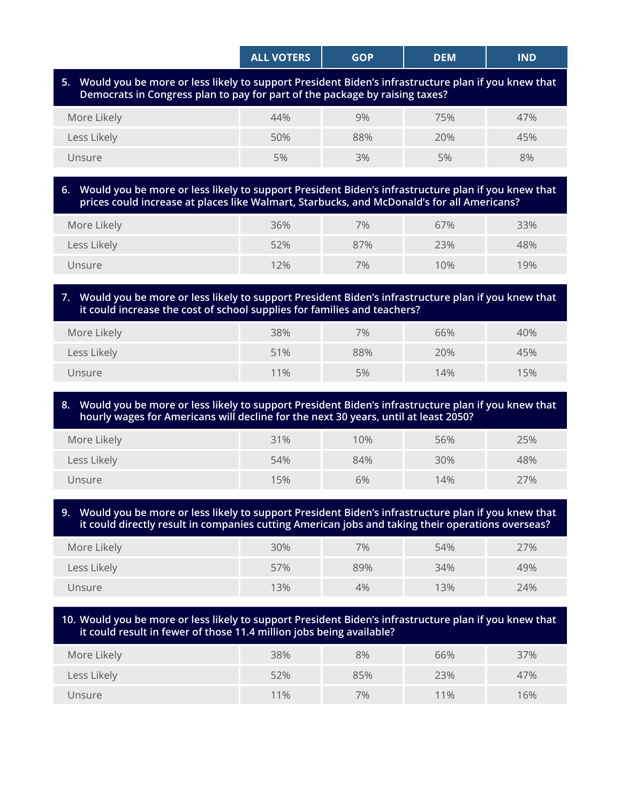|                                                                                                                                                                                      | <b>ALL VOTERS</b> | <b>GOP</b> | <b>DEM</b> | <b>IND</b> |  |  |
|--------------------------------------------------------------------------------------------------------------------------------------------------------------------------------------|-------------------|------------|------------|------------|--|--|
| 5. Would you be more or less likely to support President Biden's infrastructure plan if you knew that<br>Democrats in Congress plan to pay for part of the package by raising taxes? |                   |            |            |            |  |  |
| More Likely                                                                                                                                                                          | 44%               | 9%         | 75%        | 47%        |  |  |
| Less Likely                                                                                                                                                                          | 50%               | 88%        | 20%        | 45%        |  |  |
| Unsure                                                                                                                                                                               | 5%                | 3%         | 5%         | 8%         |  |  |
|                                                                                                                                                                                      |                   |            |            |            |  |  |

#### **6. Would you be more or less likely to support President Biden's infrastructure plan if you knew that prices could increase at places like Walmart, Starbucks, and McDonald's for all Americans?**

| More Likely | 36% | 7%  | 67% | 33% |
|-------------|-----|-----|-----|-----|
| Less Likely | 52% | 87% | 23% | 48% |
| Unsure      | 12% | 7%  | 10% | 19% |

#### **7. Would you be more or less likely to support President Biden's infrastructure plan if you knew that it could increase the cost of school supplies for families and teachers?**

| More Likely | 38% | 7%  | 66% | 40% |
|-------------|-----|-----|-----|-----|
| Less Likely | 51% | 88% | 20% | 45% |
| Unsure      | 11% | 5%  | 14% | 15% |

#### **8. Would you be more or less likely to support President Biden's infrastructure plan if you knew that hourly wages for Americans will decline for the next 30 years, until at least 2050?**

| More Likely | 31% | $10\%$ | 56% | 25% |
|-------------|-----|--------|-----|-----|
| Less Likely | 54% | 84%    | 30% | 48% |
| Unsure      | 15% | 6%     | 14% | 27% |

#### **9. Would you be more or less likely to support President Biden's infrastructure plan if you knew that it could directly result in companies cutting American jobs and taking their operations overseas?**

| More Likely | 30% | 7%  | 54% | 27% |
|-------------|-----|-----|-----|-----|
| Less Likely | 57% | 89% | 34% | 49% |
| Unsure      | 13% | 4%  | 13% | 24% |

#### **10. Would you be more or less likely to support President Biden's infrastructure plan if you knew that it could result in fewer of those 11.4 million jobs being available?**

| More Likely | 38% | 8%  | 66%    | 37% |
|-------------|-----|-----|--------|-----|
| Less Likely | 52% | 85% | 23%    | 47% |
| Unsure      | 11% | 7%  | $11\%$ | 16% |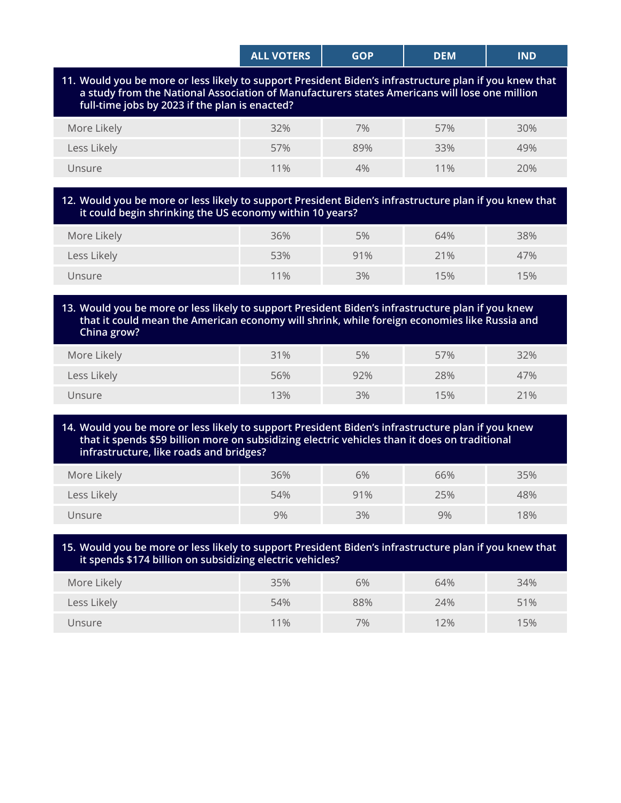| <b>ALL VOTERS</b> | GOP | DEM | IND |
|-------------------|-----|-----|-----|
|                   |     |     |     |

**11. Would you be more or less likely to support President Biden's infrastructure plan if you knew that a study from the National Association of Manufacturers states Americans will lose one million full-time jobs by 2023 if the plan is enacted?**

| More Likely | 32% | $7\%$ | 57% | 30% |
|-------------|-----|-------|-----|-----|
| Less Likely | 57% | 89%   | 33% | 49% |
| Unsure      | 11% | 4%    | 11% | 20% |

#### **12. Would you be more or less likely to support President Biden's infrastructure plan if you knew that it could begin shrinking the US economy within 10 years?**

| More Likely | 36% | 5%  | 64% | 38% |
|-------------|-----|-----|-----|-----|
| Less Likely | 53% | 91% | 21% | 47% |
| Unsure      | 11% | 3%  | 15% | 15% |

#### **13. Would you be more or less likely to support President Biden's infrastructure plan if you knew that it could mean the American economy will shrink, while foreign economies like Russia and China grow?**

| More Likely | 31% | 5%  | 57% | 32% |
|-------------|-----|-----|-----|-----|
| Less Likely | 56% | 92% | 28% | 47% |
| Unsure      | 13% | 3%  | 15% | 21% |

#### **14. Would you be more or less likely to support President Biden's infrastructure plan if you knew that it spends \$59 billion more on subsidizing electric vehicles than it does on traditional infrastructure, like roads and bridges?**

| More Likely | 36% | 6%  | 66% | 35% |
|-------------|-----|-----|-----|-----|
| Less Likely | 54% | 91% | 25% | 48% |
| Unsure      | 9%  | 3%  | 9%  | 18% |

#### **15. Would you be more or less likely to support President Biden's infrastructure plan if you knew that it spends \$174 billion on subsidizing electric vehicles?**

| More Likely | 35% | 6%  | 64% | 34% |
|-------------|-----|-----|-----|-----|
| Less Likely | 54% | 88% | 24% | 51% |
| Unsure      | 11% | 7%  | 12% | 15% |